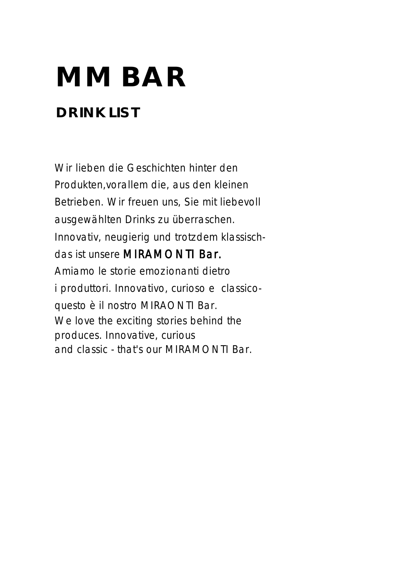# **MM BAR**

# **DRINK LIST**

 Wir lieben die Geschichten hinter den Produkten,vorallem die, aus den kleinen Betrieben. Wir freuen uns, Sie mit liebevoll ausgewählten Drinks zu überraschen. Innovativ, neugierig und trotzdem klassisch das ist unsere MIRAMONTI Bar. Amiamo le storie emozionanti dietro i produttori. Innovativo, curioso e classico questo è il nostro MIRAONTI Bar. We love the exciting stories behind the produces. Innovative, curious and classic - that's our MIRAMONTI Bar.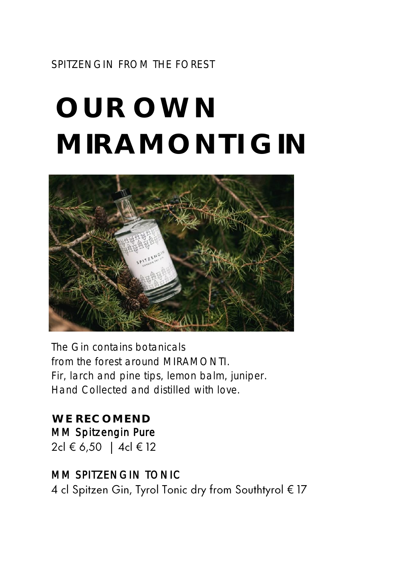SPITZENGIN FROM THE FOREST

# **OUR OWN MIRAMONTI GIN**



The Gin contains botanicals from the forest around MIRAMONTI. Fir, larch and pine tips, lemon balm, juniper. Hand Collected and distilled with love.

**WE RECOMEND** MM Spitzengin Pure 2cl € 6,50 | 4cl € 12

#### MM SPITZENGIN TONIC

4 cl Spitzen Gin, Tyrol Tonic dry from Southtyrol € 17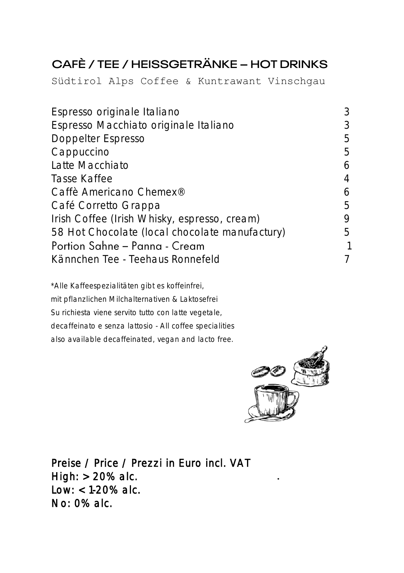### CAFÈ / TEE / HEISSGETRÄNKE - HOT DRINKS

Südtirol Alps Coffee & Kuntrawant Vinschgau

| Espresso originale Italiano                    | 3 |
|------------------------------------------------|---|
| Espresso Macchiato originale Italiano          | 3 |
| Doppelter Espresso                             | 5 |
| Cappuccino                                     | 5 |
| Latte Macchiato                                | 6 |
| Tasse Kaffee                                   | 4 |
| Caffè Americano Chemex <sup>®</sup>            | 6 |
| Café Corretto Grappa                           | 5 |
| Irish Coffee (Irish Whisky, espresso, cream)   | 9 |
| 58 Hot Chocolate (local chocolate manufactury) | 5 |
| Portion Sahne - Panna - Cream                  |   |
| Kännchen Tee - Teehaus Ronnefeld               | 7 |
|                                                |   |

\*Alle Kaffeespezialitäten gibt es koffeinfrei, mit pflanzlichen Milchalternativen & Laktosefrei Su richiesta viene servito tutto con latte vegetale, decaffeinato e senza lattosio - All coffee specialities also available decaffeinated, vegan and lacto free.



Preise / Price / Prezzi in Euro incl. VAT High:  $> 20\%$  alc. Low: < 1-20% alc. No: 0% alc.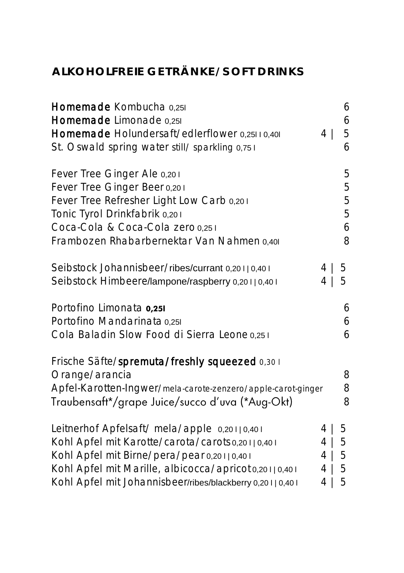#### **ALKOHOLFREIE GETRÄNKE/SOFT DRINKS**

| Homemade Kombucha 0,251<br>Homemade Limonade 0,251<br>Homemade Holundersaft/edlerflower 0,25110,401<br>St. Oswald spring water still/ sparkling 0,751                                                                                                               | $\overline{4}$               | 6<br>6<br>5<br>6           |
|---------------------------------------------------------------------------------------------------------------------------------------------------------------------------------------------------------------------------------------------------------------------|------------------------------|----------------------------|
| Fever Tree Ginger Ale 0,201<br>Fever Tree Ginger Beer 0,201<br>Fever Tree Refresher Light Low Carb 0,201<br>Tonic Tyrol Drinkfabrik 0,201<br>Coca-Cola & Coca-Cola zero 0,251<br>Frambozen Rhabarbernektar Van Nahmen 0,401                                         |                              | 5<br>5<br>5<br>5<br>6<br>8 |
| Seibstock Johannisbeer/ribes/currant 0,20110,401<br>Seibstock Himbeere/lampone/raspberry 0,20110,401                                                                                                                                                                | 4<br>4                       | 5<br>5                     |
| Portofino Limonata 0,251<br>Portofino Mandarinata 0,251<br>Cola Baladin Slow Food di Sierra Leone 0,251                                                                                                                                                             |                              | 6<br>6<br>6                |
| Frische Säfte/spremuta/freshly squeezed 0,301<br>Orange/arancia<br>Apfel-Karotten-Ingwer/mela-carote-zenzero/apple-carot-ginger<br>Traubensaft*/grape Juice/succo d'uva (*Aug-Okt)                                                                                  |                              | 8<br>8<br>8                |
| Leitnerhof Apfelsaft/ mela/apple 0,20110,401<br>Kohl Apfel mit Karotte/carota/carots 0,20110,401<br>Kohl Apfel mit Birne/pera/pear 0,20110,401<br>Kohl Apfel mit Marille, albicocca/apricot 0,20110,401<br>Kohl Apfel mit Johannisbeer/ribes/blackberry 0,20110,401 | 4<br>4<br>$4 \mid$<br>4<br>4 | 5<br>5<br>5<br>5<br>5      |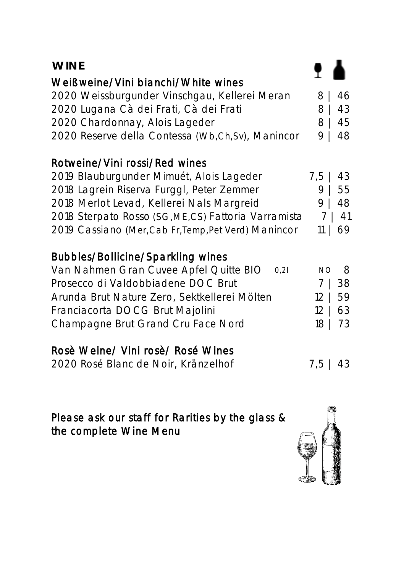| <b>WINE</b>                                          |                       |
|------------------------------------------------------|-----------------------|
| Weißweine/Vini bianchi/White wines                   |                       |
| 2020 Weissburgunder Vinschgau, Kellerei Meran        | 8<br>46               |
| 2020 Lugana Cà dei Frati, Cà dei Frati               | 8<br>43               |
| 2020 Chardonnay, Alois Lageder                       | 45<br>8               |
| 2020 Reserve della Contessa (Wb,Ch,Sv), Manincor     | 9<br>48               |
| Rotweine/Vini rossi/Red wines                        |                       |
| 2019 Blauburgunder Mimuét, Alois Lageder             | $7,5$  <br>43         |
| 2018 Lagrein Riserva Furggl, Peter Zemmer            | 9<br>55               |
| 2018 Merlot Levad, Kellerei Nals Margreid            | 9  <br>48             |
| 2018 Sterpato Rosso (SG, ME, CS) Fattoria Varramista | 7<br>41               |
| 2019 Cassiano (Mer, Cab Fr, Temp, Pet Verd) Manincor | 69<br>$11 \mid$       |
| <b>Bubbles/Bollicine/Sparkling wines</b>             |                       |
| Van Nahmen Gran Cuvee Apfel Quitte BIO<br>0,21       | <b>NO</b><br>8        |
| Prosecco di Valdobbiadene DOC Brut                   | 38<br>7               |
| Arunda Brut Nature Zero, Sektkellerei Mölten         | 12<br>59              |
| Franciacorta DOCG Brut Majolini                      | 12 <sup>1</sup><br>63 |
| Champagne Brut Grand Cru Face Nord                   | 18<br>73              |
| Rosè Weine/ Vini rosè/ Rosé Wines                    |                       |
| 2020 Rosé Blanc de Noir, Kränzelhof                  | $7,5$   43            |
|                                                      |                       |
|                                                      |                       |

Please ask our staff for Rarities by the glass & the complete Wine Menu

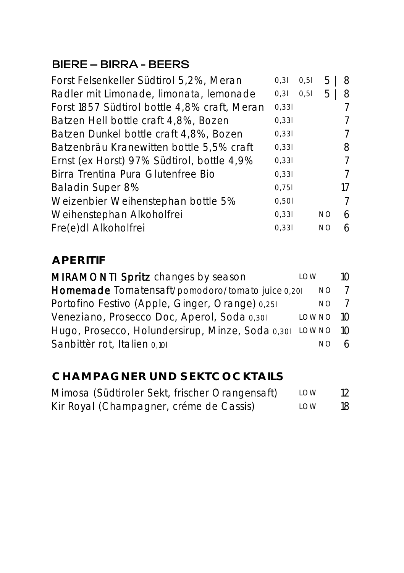#### **BIERE - BIRRA - BEERS**

| Forst Felsenkeller Südtirol 5,2%, Meran      | 0,31  | 0,51 | 5  | 8  |
|----------------------------------------------|-------|------|----|----|
| Radler mit Limonade, limonata, lemonade      | 0, 31 | 0,51 | 5  | 8  |
| Forst 1857 Südtirol bottle 4,8% craft, Meran | 0,331 |      |    |    |
| Batzen Hell bottle craft 4,8%, Bozen         | 0,331 |      |    |    |
| Batzen Dunkel bottle craft 4,8%, Bozen       | 0,331 |      |    |    |
| Batzenbräu Kranewitten bottle 5,5% craft     | 0,331 |      |    | 8  |
| Ernst (ex Horst) 97% Südtirol, bottle 4,9%   | 0,331 |      |    | 7  |
| Birra Trentina Pura Glutenfree Bio           | 0,331 |      |    | 7  |
| Baladin Super 8%                             | 0,751 |      |    | 17 |
| Weizenbier Weihenstephan bottle 5%           | 0,501 |      |    | 7  |
| Weihenstephan Alkoholfrei                    | 0,331 |      | NΟ | 6  |
| Fre(e)dl Alkoholfrei                         | 0,331 |      | NΟ | 6  |
|                                              |       |      |    |    |

#### **APERITIF**

| MIRAMONTI Spritz changes by season                        | LOW        | $1 \cap$       |
|-----------------------------------------------------------|------------|----------------|
| Homemade Tomatensaft/pomodoro/tomato juice 0,201          | NO.        | $\overline{7}$ |
| Portofino Festivo (Apple, Ginger, Orange) 0,251           | NO.        |                |
| Veneziano, Prosecco Doc, Aperol, Soda 0,301               | $LOWNO$ 10 |                |
| Hugo, Prosecco, Holundersirup, Minze, Soda 0,301 LOWNO 10 |            |                |
| Sanbittèr rot, Italien 0,101                              | NO.        |                |

#### **CHAMPAGNER UND SEKTCOCKTAILS**

| Mimosa (Südtiroler Sekt, frischer Orangensaft) | LOW        | 12 |
|------------------------------------------------|------------|----|
| Kir Royal (Champagner, créme de Cassis)        | <b>IOW</b> | 18 |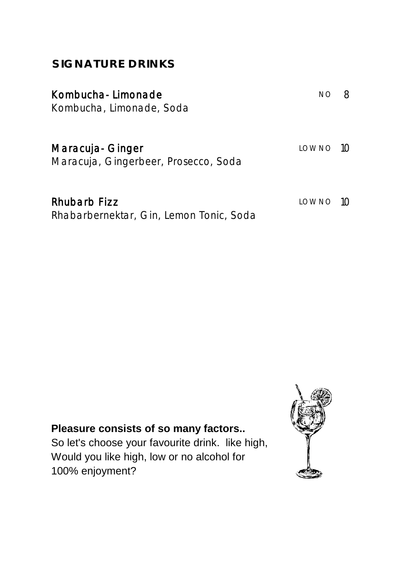| Kombucha-Limonade<br>Kombucha, Limonade, Soda            | NΟ         |  |
|----------------------------------------------------------|------------|--|
| Maracuja- Ginger<br>Maracuja, Gingerbeer, Prosecco, Soda | $LOWNO$ 10 |  |
| Rhubarb Fizz<br>Rhabarbernektar, Gin, Lemon Tonic, Soda  | $LOWNO$ 10 |  |

**SIGNATURE DRINKS**

#### **Pleasure consists of so many factors..**

So let's choose your favourite drink. like high, Would you like high, low or no alcohol for 100% enjoyment?

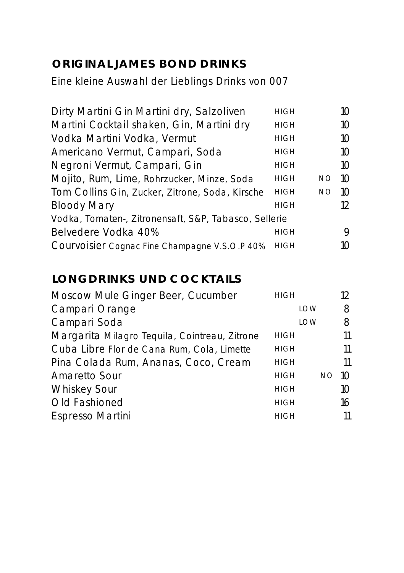#### **ORIGINAL JAMES BOND DRINKS**

Eine kleine Auswahl der Lieblings Drinks von 007

| Dirty Martini Gin Martini dry, Salzoliven             | <b>HIGH</b> |           | 10.             |
|-------------------------------------------------------|-------------|-----------|-----------------|
| Martini Cocktail shaken, Gin, Martini dry             | <b>HIGH</b> |           | $10^{-}$        |
| Vodka Martini Vodka, Vermut                           | <b>HIGH</b> |           | $10^{-}$        |
| Americano Vermut, Campari, Soda                       | <b>HIGH</b> |           | $10^{-}$        |
| Negroni Vermut, Campari, Gin                          | <b>HIGH</b> |           | $10^{-}$        |
| Mojito, Rum, Lime, Rohrzucker, Minze, Soda            | <b>HIGH</b> | NO.       | 10              |
| Tom Collins Gin, Zucker, Zitrone, Soda, Kirsche       | <b>HIGH</b> | <b>NO</b> | $1 \Omega$      |
| <b>Bloody Mary</b>                                    | <b>HIGH</b> |           | 12 <sup>°</sup> |
| Vodka, Tomaten-, Zitronensaft, S&P, Tabasco, Sellerie |             |           |                 |
| Belvedere Vodka 40%                                   | <b>HIGH</b> |           | 9               |
| Courvoisier Cognac Fine Champagne V.S.O.P 40%         | <b>HIGH</b> |           | 10              |

#### **LONGDRINKS UND COCKTAILS**

| Moscow Mule Ginger Beer, Cucumber             | <b>HIGH</b> |            |           | 12       |
|-----------------------------------------------|-------------|------------|-----------|----------|
| Campari Orange                                |             | LOW        |           | 8        |
| Campari Soda                                  |             | <b>IOW</b> |           | 8        |
| Margarita Milagro Tequila, Cointreau, Zitrone | <b>HIGH</b> |            |           | 11       |
| Cuba Libre Flor de Cana Rum, Cola, Limette    | <b>HIGH</b> |            |           | 11       |
| Pina Colada Rum, Ananas, Coco, Cream          | <b>HIGH</b> |            |           | 11       |
| Amaretto Sour                                 | <b>HIGH</b> |            | <b>NO</b> | 10       |
| <b>Whiskey Sour</b>                           | <b>HIGH</b> |            |           | $1 \cap$ |
| Old Fashioned                                 | <b>HIGH</b> |            |           | 16       |
| Espresso Martini                              | <b>HIGH</b> |            |           | 11       |
|                                               |             |            |           |          |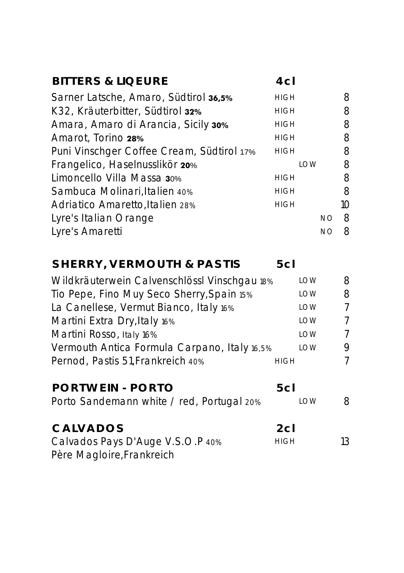| <b>BITTERS &amp; LIQEURE</b>                 | 4 <sub>CI</sub> |            |           |                |
|----------------------------------------------|-----------------|------------|-----------|----------------|
| Sarner Latsche, Amaro, Südtirol 36,5%        | <b>HIGH</b>     |            |           | 8              |
| K32, Kräuterbitter, Südtirol 32%             | <b>HIGH</b>     |            |           | 8              |
| Amara, Amaro di Arancia, Sicily 30%          | <b>HIGH</b>     |            |           | 8              |
| Amarot, Torino 28%                           | <b>HIGH</b>     |            |           | 8              |
| Puni Vinschger Coffee Cream, Südtirol 17%    | <b>HIGH</b>     |            |           | 8              |
| Frangelico, Haselnusslikör 20%               |                 | <b>LOW</b> |           | 8              |
| Limoncello Villa Massa 30%                   | <b>HIGH</b>     |            |           | 8              |
| Sambuca Molinari, Italien 40%                | <b>HIGH</b>     |            |           | 8              |
| Adriatico Amaretto, Italien 28%              | <b>HIGH</b>     |            |           | 10             |
| Lyre's Italian Orange                        |                 |            | <b>NO</b> | 8              |
| Lyre's Amaretti                              |                 |            | <b>NO</b> | 8              |
| SHERRY, VERMOUTH & PASTIS                    | 5cl             |            |           |                |
| Wildkräuterwein Calvenschlössl Vinschgau 18% |                 | LOW        |           | 8              |
| Tio Pepe, Fino Muy Seco Sherry, Spain 15%    |                 | LOW        |           | 8              |
| La Canellese, Vermut Bianco, Italy 16%       |                 | LOW        |           | $\overline{7}$ |
| Martini Extra Dry, Italy 16%                 |                 | LOW        |           | 7              |
| Martini Rosso, Italy 16%                     |                 | LOW        |           | $\overline{7}$ |
| Vermouth Antica Formula Carpano, Italy 16,5% |                 | <b>LOW</b> |           | 9              |
| Pernod, Pastis 51, Frankreich 40%            | <b>HIGH</b>     |            |           | $\overline{7}$ |
| <b>PORTWEIN - PORTO</b>                      | 5cl             |            |           |                |
| Porto Sandemann white / red, Portugal 20%    |                 | <b>LOW</b> |           | 8              |
| <b>CALVADOS</b>                              | 2 <sub>cl</sub> |            |           |                |
| Calvados Pays D'Auge V.S.O.P 40%             | <b>HIGH</b>     |            |           | 13             |
| Père Magloire, Frankreich                    |                 |            |           |                |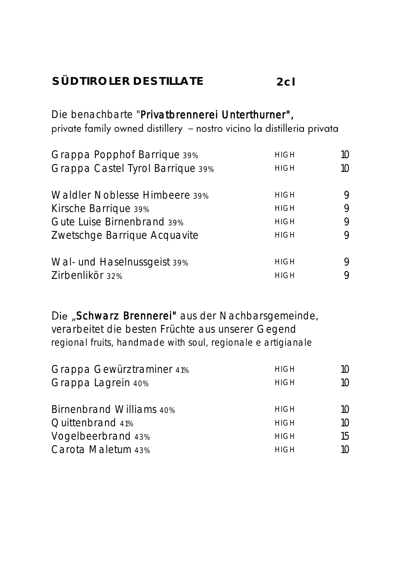#### **SÜDTIROLER DESTILLATE 2cl**

Die benachbarte "Privatbrennerei Unterthurner", private family owned distillery - nostro vicino la distilleria privata

| Grappa Popphof Barrique 39%      | <b>HIGH</b> | 10 |
|----------------------------------|-------------|----|
| Grappa Castel Tyrol Barrique 39% | <b>HIGH</b> | 10 |
| Waldler Noblesse Himbeere 39%    | <b>HIGH</b> | 9  |
| Kirsche Barrique 39%             | <b>HIGH</b> | 9  |
| Gute Luise Birnenbrand 39%       | <b>HIGH</b> | 9  |
| Zwetschge Barrique Acquavite     | <b>HIGH</b> | 9  |
| Wal- und Haselnussgeist 39%      | <b>HIGH</b> | 9  |
| Zirbenlikör 32%                  | <b>HIGH</b> | 9  |

Die "Schwarz Brennerei" aus der Nachbarsgemeinde, verarbeitet die besten Früchte aus unserer Gegend regional fruits, handmade with soul, regionale e artigianale

| <b>HIGH</b> | 10 |
|-------------|----|
| <b>HIGH</b> | 1Ω |
|             |    |
| <b>HIGH</b> | 10 |
| <b>HIGH</b> | 10 |
| <b>HIGH</b> | 15 |
| <b>HIGH</b> | 10 |
|             |    |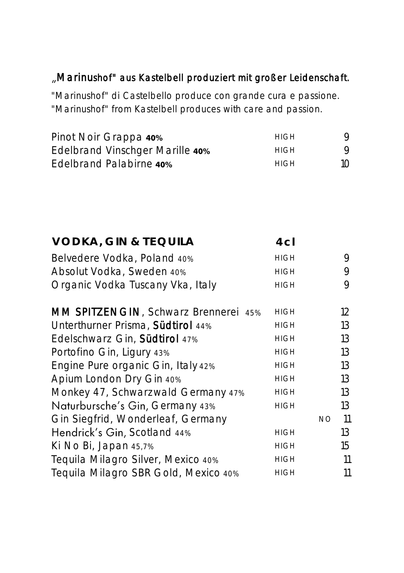#### Marinushof" aus Kastelbell produziert mit großer Leidenschaft.

"Marinushof" di Castelbello produce con grande cura e passione. "Marinushof" from Kastelbell produces with care and passion.

| Pinot Noir Grappa 40%                  | HIGH | 9               |
|----------------------------------------|------|-----------------|
| <b>Edelbrand Vinschger Marille 40%</b> | HIGH | Q               |
| Edelbrand Palabirne 40%                | HIGH | 10 <sup>1</sup> |

| VODKA, GIN & TEQUILA                 | 4cl         |           |    |
|--------------------------------------|-------------|-----------|----|
| Belvedere Vodka, Poland 40%          | <b>HIGH</b> |           | 9  |
| Absolut Vodka, Sweden 40%            | <b>HIGH</b> |           | 9  |
| Organic Vodka Tuscany Vka, Italy     | <b>HIGH</b> |           | 9  |
| MM SPITZENGIN, Schwarz Brennerei 45% | <b>HIGH</b> |           | 12 |
| Unterthurner Prisma, Südtirol 44%    | <b>HIGH</b> |           | 13 |
| Edelschwarz Gin, Südtirol 47%        | <b>HIGH</b> |           | 13 |
| Portofino Gin, Ligury 43%            | <b>HIGH</b> |           | 13 |
| Engine Pure organic Gin, Italy 42%   | <b>HIGH</b> |           | 13 |
| Apium London Dry Gin 40%             | <b>HIGH</b> |           | 13 |
| Monkey 47, Schwarzwald Germany 47%   | <b>HIGH</b> |           | 13 |
| Naturbursche's Gin, Germany 43%      | <b>HIGH</b> |           | 13 |
| Gin Siegfrid, Wonderleaf, Germany    |             | <b>NO</b> | 11 |
| Hendrick's Gin, Scotland 44%         | <b>HIGH</b> |           | 13 |
| Ki No Bi, Japan 45,7%                | <b>HIGH</b> |           | 15 |
| Tequila Milagro Silver, Mexico 40%   | <b>HIGH</b> |           | 11 |
| Tequila Milagro SBR Gold, Mexico 40% | <b>HIGH</b> |           | 11 |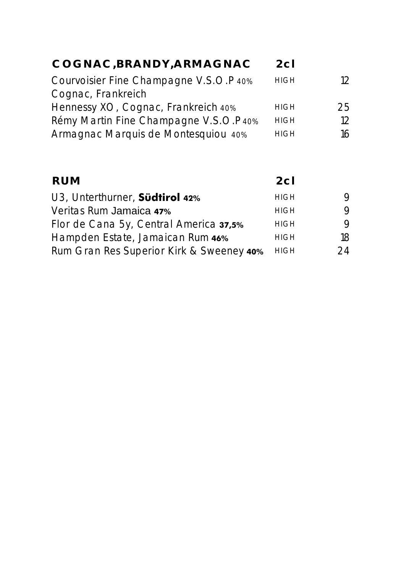| COGNAC, BRANDY, ARMAGNAC               | 2c1         |     |
|----------------------------------------|-------------|-----|
|                                        |             |     |
| Courvoisier Fine Champagne V.S.O.P 40% | <b>HIGH</b> | 12. |
| Cognac, Frankreich                     |             |     |
| Hennessy XO, Cognac, Frankreich 40%    | <b>HIGH</b> | 25  |
| Rémy Martin Fine Champagne V.S.O.P 40% | <b>HIGH</b> | 12  |
| Armagnac Marquis de Montesquiou 40%    | <b>HIGH</b> | 16  |
|                                        |             |     |

| <b>RUM</b>                               | 2c1         |    |
|------------------------------------------|-------------|----|
| U3, Unterthurner, Südtirol 42%           | <b>HIGH</b> | 9  |
| Veritas Rum Jamaica 47%                  | <b>HIGH</b> | 9  |
| Flor de Cana 5y, Central America 37,5%   | <b>HIGH</b> | 9  |
| Hampden Estate, Jamaican Rum 46%         | <b>HIGH</b> | 18 |
| Rum Gran Res Superior Kirk & Sweeney 40% | <b>HIGH</b> | 24 |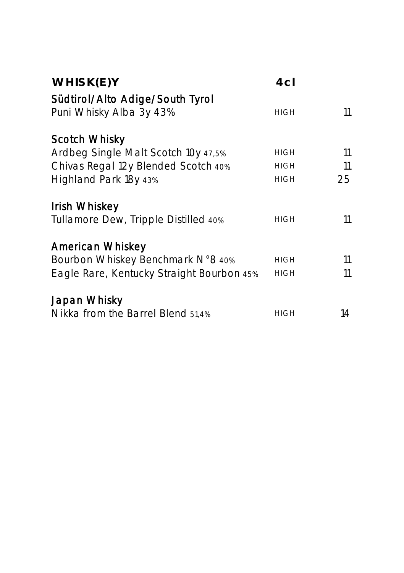| WHISK(E)Y                                                                                                            | 4c <sub>l</sub>                           |                |
|----------------------------------------------------------------------------------------------------------------------|-------------------------------------------|----------------|
| Südtirol/Alto Adige/South Tyrol<br>Puni Whisky Alba 3y 43%                                                           | <b>HIGH</b>                               | 11             |
| Scotch Whisky<br>Ardbeg Single Malt Scotch 10y 47,5%<br>Chivas Regal 12y Blended Scotch 40%<br>Highland Park 18y 43% | <b>HIGH</b><br><b>HIGH</b><br><b>HIGH</b> | 11<br>11<br>25 |
| Irish Whiskey<br>Tullamore Dew, Tripple Distilled 40%                                                                | <b>HIGH</b>                               | 11             |
| American Whiskey<br>Bourbon Whiskey Benchmark N°8 40%<br>Eagle Rare, Kentucky Straight Bourbon 45%                   | <b>HIGH</b><br><b>HIGH</b>                | 11<br>11       |
| Japan Whisky<br>Nikka from the Barrel Blend 51,4%                                                                    | <b>HIGH</b>                               | 14             |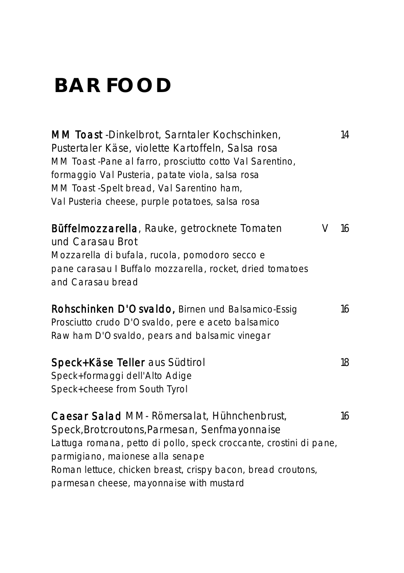# **BAR FOOD**

MM Toast -Dinkelbrot, Sarntaler Kochschinken, 14 Pustertaler Käse, violette Kartoffeln, Salsa rosa MM Toast -Pane al farro, prosciutto cotto Val Sarentino, formaggio Val Pusteria, patate viola, salsa rosa MM Toast -Spelt bread, Val Sarentino ham, Val Pusteria cheese, purple potatoes, salsa rosa Büffelmozzarella, Rauke, getrocknete Tomaten V 16 und Carasau Brot Mozzarella di bufala, rucola, pomodoro secco e pane carasau I Buffalo mozzarella, rocket, dried tomatoes and Carasau bread Rohschinken D'Osvaldo, Birnen und Balsamico-Essig 16 Prosciutto crudo D'Osvaldo, pere e aceto balsamico Raw ham D'Osvaldo, pears and balsamic vinegar Speck+Käse Teller aus Südtirol 18 Speck+formaggi dell'Alto Adige Speck+cheese from South Tyrol Caesar Salad MM- Römersalat, Hühnchenbrust, 16 Speck,Brotcroutons,Parmesan, Senfmayonnaise Lattuga romana, petto di pollo, speck croccante, crostini di pane,

Roman lettuce, chicken breast, crispy bacon, bread croutons,

parmigiano, maionese alla senape

parmesan cheese, mayonnaise with mustard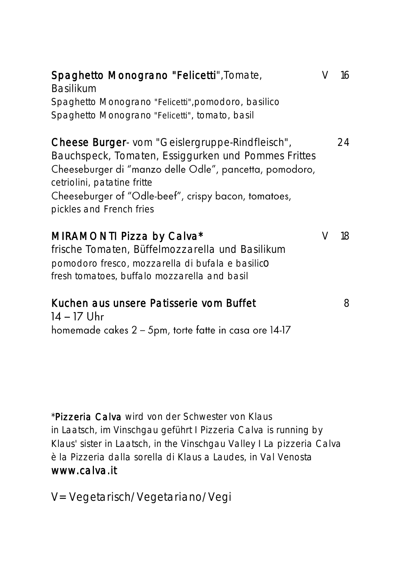| Spaghetto Monograno "Felicetti", Tomate,<br><b>Basilikum</b><br>Spaghetto Monograno "Felicetti", pomodoro, basilico<br>Spaghetto Monograno "Felicetti", tomato, basil                                                                                                                | V | 16 |
|--------------------------------------------------------------------------------------------------------------------------------------------------------------------------------------------------------------------------------------------------------------------------------------|---|----|
| Cheese Burger- vom "Geislergruppe-Rindfleisch",<br>Bauchspeck, Tomaten, Essiggurken und Pommes Frittes<br>Cheeseburger di "manzo delle Odle", pancetta, pomodoro,<br>cetriolini, patatine fritte<br>Cheeseburger of "Odle-beef", crispy bacon, tomatoes,<br>pickles and French fries |   | 24 |
| MIRAMONTI Pizza by Calva*<br>frische Tomaten, Büffelmozzarella und Basilikum<br>pomodoro fresco, mozzarella di bufala e basilicO<br>fresh tomatoes, buffalo mozzarella and basil                                                                                                     | V | 18 |
| Kuchen aus unsere Patisserie vom Buffet                                                                                                                                                                                                                                              |   | 8  |

 $14 - 17$  Uhr homemade cakes 2 - 5pm, torte fatte in casa ore 14-17

\*Pizzeria Calva wird von der Schwester von Klaus in Laatsch, im Vinschgau geführt I Pizzeria Calva is running by Klaus' sister in Laatsch, in the Vinschgau Valley I La pizzeria Calva è la Pizzeria dalla sorella di Klaus a Laudes, in Val Venosta [www.calva.it](http://www.calva.it/)

V= Vegetarisch/Vegetariano/Vegi